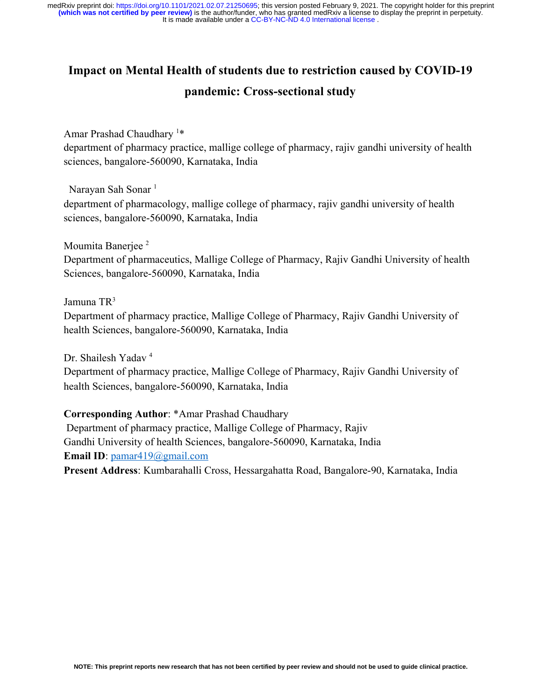# **Impact on Mental Health of students due to restriction caused by COVID-19**

## **pandemic: Cross-sectional study**

Amar Prashad Chaudhary <sup>1</sup>\* department of pharmacy practice, mallige college of pharmacy, rajiv gandhi university of health sciences, bangalore-560090, Karnataka, India

Narayan Sah Sonar<sup>1</sup>

department of pharmacology, mallige college of pharmacy, rajiv gandhi university of health sciences, bangalore-560090, Karnataka, India

Moumita Banerjee<sup>2</sup>

Department of pharmaceutics, Mallige College of Pharmacy, Rajiv Gandhi University of health Sciences, bangalore-560090, Karnataka, India

Jamuna TR<sup>3</sup>

Department of pharmacy practice, Mallige College of Pharmacy, Rajiv Gandhi University of health Sciences, bangalore-560090, Karnataka, India

Dr. Shailesh Yadav <sup>4</sup>

Department of pharmacy practice, Mallige College of Pharmacy, Rajiv Gandhi University of health Sciences, bangalore-560090, Karnataka, India

## **Corresponding Author**: \*Amar Prashad Chaudhary

 Department of pharmacy practice, Mallige College of Pharmacy, Rajiv Gandhi University of health Sciences, bangalore-560090, Karnataka, India **Email ID**: [pamar419@gmail.com](mailto:pamar419@gmail.com)

**Present Address**: Kumbarahalli Cross, Hessargahatta Road, Bangalore-90, Karnataka, India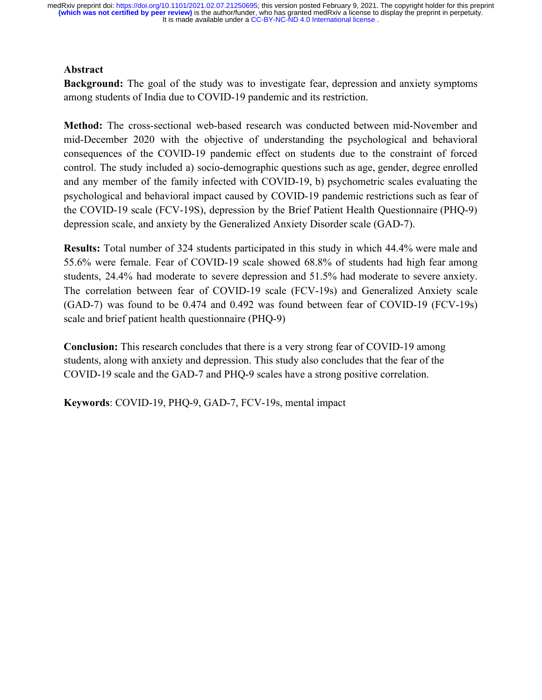## **Abstract**

**Background:** The goal of the study was to investigate fear, depression and anxiety symptoms among students of India due to COVID-19 pandemic and its restriction.

**Method:** The cross-sectional web-based research was conducted between mid-November and mid-December 2020 with the objective of understanding the psychological and behavioral consequences of the COVID-19 pandemic effect on students due to the constraint of forced control. The study included a) socio-demographic questions such as age, gender, degree enrolled and any member of the family infected with COVID-19, b) psychometric scales evaluating the psychological and behavioral impact caused by COVID-19 pandemic restrictions such as fear of the COVID-19 scale (FCV-19S), depression by the Brief Patient Health Questionnaire (PHQ-9) depression scale, and anxiety by the Generalized Anxiety Disorder scale (GAD-7).

**Results:** Total number of 324 students participated in this study in which 44.4% were male and 55.6% were female. Fear of COVID-19 scale showed 68.8% of students had high fear among students, 24.4% had moderate to severe depression and 51.5% had moderate to severe anxiety. The correlation between fear of COVID-19 scale (FCV-19s) and Generalized Anxiety scale (GAD-7) was found to be 0.474 and 0.492 was found between fear of COVID-19 (FCV-19s) scale and brief patient health questionnaire (PHQ-9)

**Conclusion:** This research concludes that there is a very strong fear of COVID-19 among students, along with anxiety and depression. This study also concludes that the fear of the COVID-19 scale and the GAD-7 and PHQ-9 scales have a strong positive correlation.

**Keywords**: COVID-19, PHQ-9, GAD-7, FCV-19s, mental impact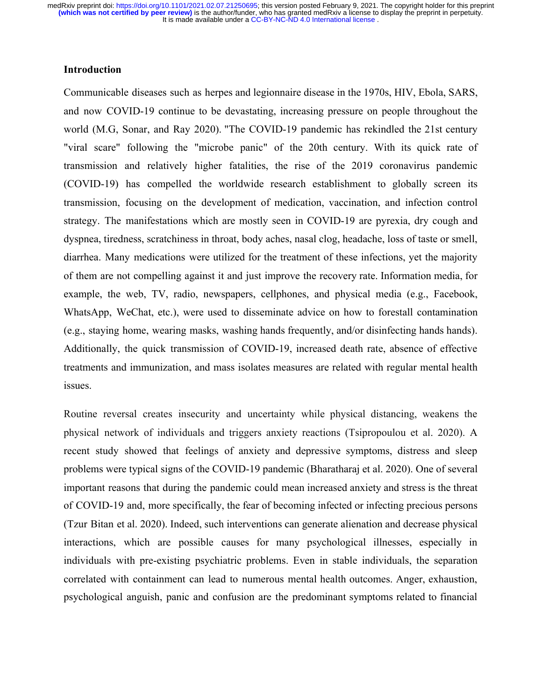## **Introduction**

Communicable diseases such as herpes and legionnaire disease in the 1970s, HIV, Ebola, SARS, and now COVID-19 continue to be devastating, increasing pressure on people throughout the world (M.G, Sonar, and Ray 2020). "The COVID-19 pandemic has rekindled the 21st century "viral scare" following the "microbe panic" of the 20th century. With its quick rate of transmission and relatively higher fatalities, the rise of the 2019 coronavirus pandemic (COVID-19) has compelled the worldwide research establishment to globally screen its transmission, focusing on the development of medication, vaccination, and infection control strategy. The manifestations which are mostly seen in COVID-19 are pyrexia, dry cough and dyspnea, tiredness, scratchiness in throat, body aches, nasal clog, headache, loss of taste or smell, diarrhea. Many medications were utilized for the treatment of these infections, yet the majority of them are not compelling against it and just improve the recovery rate. Information media, for example, the web, TV, radio, newspapers, cellphones, and physical media (e.g., Facebook, WhatsApp, WeChat, etc.), were used to disseminate advice on how to forestall contamination (e.g., staying home, wearing masks, washing hands frequently, and/or disinfecting hands hands). Additionally, the quick transmission of COVID-19, increased death rate, absence of effective treatments and immunization, and mass isolates measures are related with regular mental health issues.

Routine reversal creates insecurity and uncertainty while physical distancing, weakens the physical network of individuals and triggers anxiety reactions (Tsipropoulou et al. 2020). A recent study showed that feelings of anxiety and depressive symptoms, distress and sleep problems were typical signs of the COVID-19 pandemic (Bharatharaj et al. 2020). One of several important reasons that during the pandemic could mean increased anxiety and stress is the threat of COVID-19 and, more specifically, the fear of becoming infected or infecting precious persons (Tzur Bitan et al. 2020). Indeed, such interventions can generate alienation and decrease physical interactions, which are possible causes for many psychological illnesses, especially in individuals with pre-existing psychiatric problems. Even in stable individuals, the separation correlated with containment can lead to numerous mental health outcomes. Anger, exhaustion, psychological anguish, panic and confusion are the predominant symptoms related to financial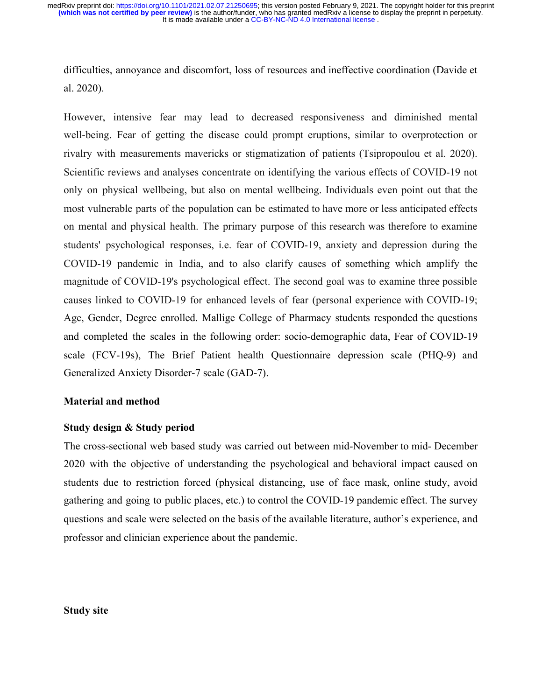difficulties, annoyance and discomfort, loss of resources and ineffective coordination (Davide et al. 2020).

However, intensive fear may lead to decreased responsiveness and diminished mental well-being. Fear of getting the disease could prompt eruptions, similar to overprotection or rivalry with measurements mavericks or stigmatization of patients (Tsipropoulou et al. 2020). Scientific reviews and analyses concentrate on identifying the various effects of COVID-19 not only on physical wellbeing, but also on mental wellbeing. Individuals even point out that the most vulnerable parts of the population can be estimated to have more or less anticipated effects on mental and physical health. The primary purpose of this research was therefore to examine students' psychological responses, i.e. fear of COVID-19, anxiety and depression during the COVID-19 pandemic in India, and to also clarify causes of something which amplify the magnitude of COVID-19's psychological effect. The second goal was to examine three possible causes linked to COVID-19 for enhanced levels of fear (personal experience with COVID-19; Age, Gender, Degree enrolled. Mallige College of Pharmacy students responded the questions and completed the scales in the following order: socio-demographic data, Fear of COVID-19 scale (FCV-19s), The Brief Patient health Questionnaire depression scale (PHQ-9) and Generalized Anxiety Disorder-7 scale (GAD-7).

#### **Material and method**

#### **Study design & Study period**

The cross-sectional web based study was carried out between mid-November to mid- December 2020 with the objective of understanding the psychological and behavioral impact caused on students due to restriction forced (physical distancing, use of face mask, online study, avoid gathering and going to public places, etc.) to control the COVID-19 pandemic effect. The survey questions and scale were selected on the basis of the available literature, author's experience, and professor and clinician experience about the pandemic.

## **Study site**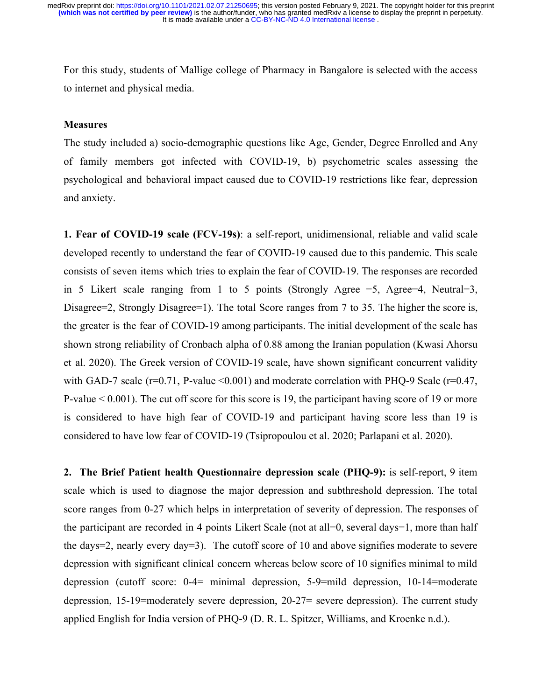For this study, students of Mallige college of Pharmacy in Bangalore is selected with the access to internet and physical media.

#### **Measures**

The study included a) socio-demographic questions like Age, Gender, Degree Enrolled and Any of family members got infected with COVID-19, b) psychometric scales assessing the psychological and behavioral impact caused due to COVID-19 restrictions like fear, depression and anxiety.

**1. Fear of COVID-19 scale (FCV-19s)**: a self-report, unidimensional, reliable and valid scale developed recently to understand the fear of COVID-19 caused due to this pandemic. This scale consists of seven items which tries to explain the fear of COVID-19. The responses are recorded in 5 Likert scale ranging from 1 to 5 points (Strongly Agree  $=$  5, Agree $=$  4, Neutral  $=$  3, Disagree=2, Strongly Disagree=1). The total Score ranges from 7 to 35. The higher the score is, the greater is the fear of COVID-19 among participants. The initial development of the scale has shown strong reliability of Cronbach alpha of 0.88 among the Iranian population (Kwasi Ahorsu et al. 2020). The Greek version of COVID-19 scale, have shown significant concurrent validity with GAD-7 scale ( $r=0.71$ , P-value <0.001) and moderate correlation with PHQ-9 Scale ( $r=0.47$ , P-value < 0.001). The cut off score for this score is 19, the participant having score of 19 or more is considered to have high fear of COVID-19 and participant having score less than 19 is considered to have low fear of COVID-19 (Tsipropoulou et al. 2020; Parlapani et al. 2020).

**2. The Brief Patient health Questionnaire depression scale (PHQ-9):** is self-report, 9 item scale which is used to diagnose the major depression and subthreshold depression. The total score ranges from 0-27 which helps in interpretation of severity of depression. The responses of the participant are recorded in 4 points Likert Scale (not at all=0, several days=1, more than half the days=2, nearly every day=3). The cutoff score of 10 and above signifies moderate to severe depression with significant clinical concern whereas below score of 10 signifies minimal to mild depression (cutoff score: 0-4= minimal depression, 5-9=mild depression, 10-14=moderate depression, 15-19=moderately severe depression, 20-27= severe depression). The current study applied English for India version of PHQ-9 (D. R. L. Spitzer, Williams, and Kroenke n.d.).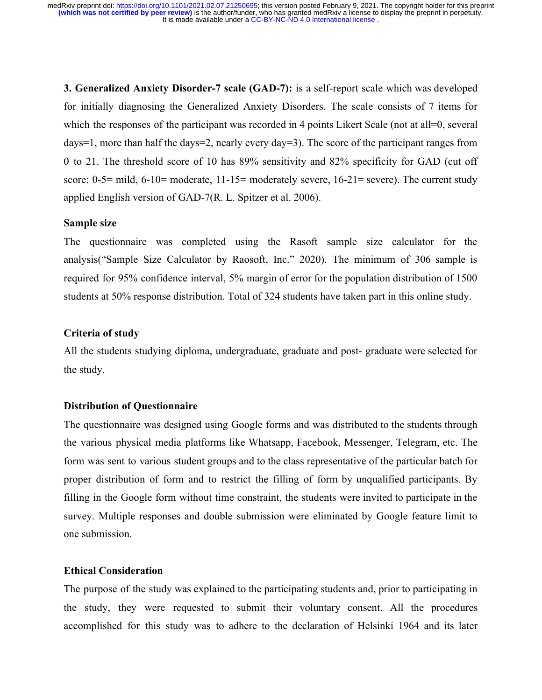**3. Generalized Anxiety Disorder-7 scale (GAD-7):** is a self-report scale which was developed for initially diagnosing the Generalized Anxiety Disorders. The scale consists of 7 items for which the responses of the participant was recorded in 4 points Likert Scale (not at all=0, several days=1, more than half the days=2, nearly every day=3). The score of the participant ranges from 0 to 21. The threshold score of 10 has 89% sensitivity and 82% specificity for GAD (cut off score:  $0-5=$  mild,  $6-10=$  moderate,  $11-15=$  moderately severe,  $16-21=$  severe). The current study applied English version of GAD-7(R. L. Spitzer et al. 2006).

## **Sample size**

The questionnaire was completed using the Rasoft sample size calculator for the analysis("Sample Size Calculator by Raosoft, Inc." 2020). The minimum of 306 sample is required for 95% confidence interval, 5% margin of error for the population distribution of 1500 students at 50% response distribution. Total of 324 students have taken part in this online study.

## **Criteria of study**

All the students studying diploma, undergraduate, graduate and post- graduate were selected for the study.

#### **Distribution of Questionnaire**

The questionnaire was designed using Google forms and was distributed to the students through the various physical media platforms like Whatsapp, Facebook, Messenger, Telegram, etc. The form was sent to various student groups and to the class representative of the particular batch for proper distribution of form and to restrict the filling of form by unqualified participants. By filling in the Google form without time constraint, the students were invited to participate in the survey. Multiple responses and double submission were eliminated by Google feature limit to one submission.

## **Ethical Consideration**

The purpose of the study was explained to the participating students and, prior to participating in the study, they were requested to submit their voluntary consent. All the procedures accomplished for this study was to adhere to the declaration of Helsinki 1964 and its later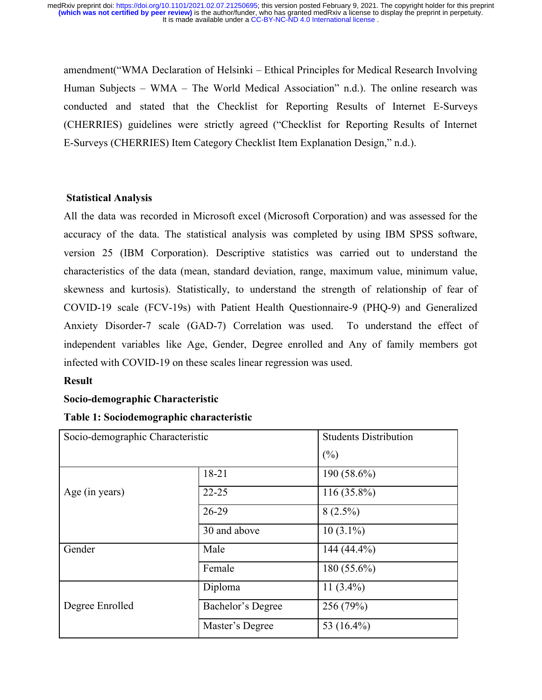amendment("WMA Declaration of Helsinki – Ethical Principles for Medical Research Involving Human Subjects – WMA – The World Medical Association" n.d.). The online research was conducted and stated that the Checklist for Reporting Results of Internet E-Surveys (CHERRIES) guidelines were strictly agreed ("Checklist for Reporting Results of Internet E-Surveys (CHERRIES) Item Category Checklist Item Explanation Design," n.d.).

## **Statistical Analysis**

All the data was recorded in Microsoft excel (Microsoft Corporation) and was assessed for the accuracy of the data. The statistical analysis was completed by using IBM SPSS software, version 25 (IBM Corporation). Descriptive statistics was carried out to understand the characteristics of the data (mean, standard deviation, range, maximum value, minimum value, skewness and kurtosis). Statistically, to understand the strength of relationship of fear of COVID-19 scale (FCV-19s) with Patient Health Questionnaire-9 (PHQ-9) and Generalized Anxiety Disorder-7 scale (GAD-7) Correlation was used. To understand the effect of independent variables like Age, Gender, Degree enrolled and Any of family members got infected with COVID-19 on these scales linear regression was used.

## **Result**

## **Socio-demographic Characteristic**

## **Table 1: Sociodemographic characteristic**

| Socio-demographic Characteristic |                   | <b>Students Distribution</b> |
|----------------------------------|-------------------|------------------------------|
|                                  |                   | (%)                          |
|                                  | 18-21             | 190 (58.6%)                  |
| Age (in years)                   | $22 - 25$         | $116(35.8\%)$                |
| 26-29                            |                   | $8(2.5\%)$                   |
|                                  | 30 and above      | $10(3.1\%)$                  |
| Gender                           | Male              | 144 (44.4%)                  |
|                                  | Female            | 180 $(55.6\%)$               |
|                                  | Diploma           | 11 $(3.4\%)$                 |
| Degree Enrolled                  | Bachelor's Degree | 256 (79%)                    |
|                                  | Master's Degree   | 53 (16.4%)                   |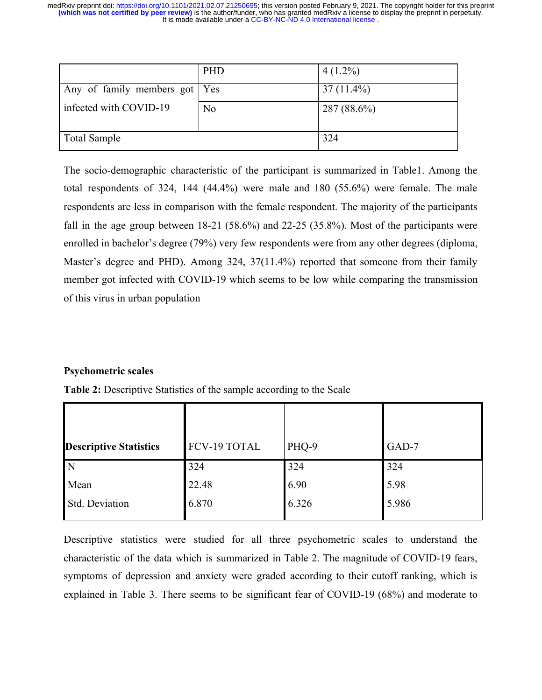|                                 | <b>PHD</b>     | $4(1.2\%)$    |
|---------------------------------|----------------|---------------|
| Any of family members got   Yes |                | $37(11.4\%)$  |
| infected with COVID-19          | N <sub>0</sub> | $287(88.6\%)$ |
| <b>Total Sample</b>             |                | 324           |

The socio-demographic characteristic of the participant is summarized in Table1. Among the total respondents of 324, 144 (44.4%) were male and 180 (55.6%) were female. The male respondents are less in comparison with the female respondent. The majority of the participants fall in the age group between 18-21 (58.6%) and 22-25 (35.8%). Most of the participants were enrolled in bachelor's degree (79%) very few respondents were from any other degrees (diploma, Master's degree and PHD). Among 324, 37(11.4%) reported that someone from their family member got infected with COVID-19 which seems to be low while comparing the transmission of this virus in urban population

## **Psychometric scales**

| <b>Descriptive Statistics</b> | <b>FCV-19 TOTAL</b> | PHQ-9 | GAD-7 |
|-------------------------------|---------------------|-------|-------|
| $\overline{N}$                | 324                 | 324   | 324   |
| Mean                          | 22.48               | 6.90  | 5.98  |
| Std. Deviation                | 6.870               | 6.326 | 5.986 |

**Table 2:** Descriptive Statistics of the sample according to the Scale

Descriptive statistics were studied for all three psychometric scales to understand the characteristic of the data which is summarized in Table 2. The magnitude of COVID-19 fears, symptoms of depression and anxiety were graded according to their cutoff ranking, which is explained in Table 3. There seems to be significant fear of COVID-19 (68%) and moderate to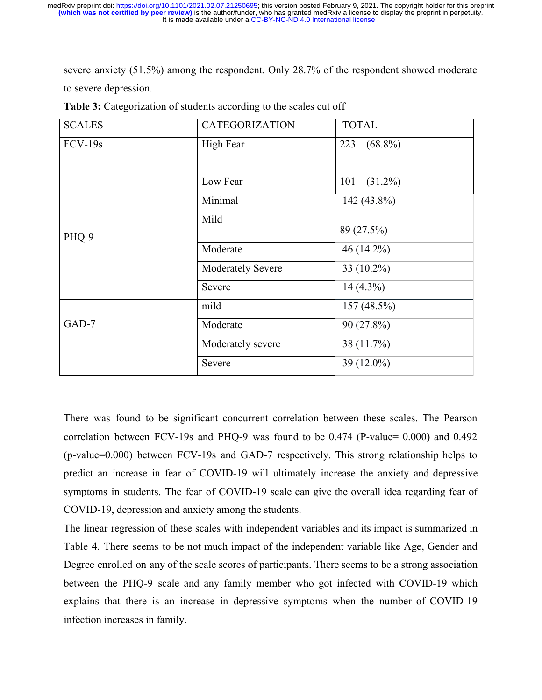severe anxiety (51.5%) among the respondent. Only 28.7% of the respondent showed moderate to severe depression.

| <b>SCALES</b> | <b>CATEGORIZATION</b> | <b>TOTAL</b>      |  |
|---------------|-----------------------|-------------------|--|
| $FCV-19s$     | High Fear             | $(68.8\%)$<br>223 |  |
|               |                       |                   |  |
|               | Low Fear              | 101<br>$(31.2\%)$ |  |
|               | Minimal               | 142 (43.8%)       |  |
| PHQ-9         | Mild<br>89 (27.5%)    |                   |  |
|               | Moderate              | 46 (14.2%)        |  |
|               | Moderately Severe     | 33 (10.2%)        |  |
|               | Severe                | $14(4.3\%)$       |  |
|               | mild                  | 157 (48.5%)       |  |
| GAD-7         | Moderate              | 90 (27.8%)        |  |
|               | Moderately severe     | 38 (11.7%)        |  |
|               | Severe                | 39 (12.0%)        |  |

**Table 3:** Categorization of students according to the scales cut off

There was found to be significant concurrent correlation between these scales. The Pearson correlation between FCV-19s and PHQ-9 was found to be 0.474 (P-value= 0.000) and 0.492 (p-value=0.000) between FCV-19s and GAD-7 respectively. This strong relationship helps to predict an increase in fear of COVID-19 will ultimately increase the anxiety and depressive symptoms in students. The fear of COVID-19 scale can give the overall idea regarding fear of COVID-19, depression and anxiety among the students.

The linear regression of these scales with independent variables and its impact is summarized in Table 4. There seems to be not much impact of the independent variable like Age, Gender and Degree enrolled on any of the scale scores of participants. There seems to be a strong association between the PHQ-9 scale and any family member who got infected with COVID-19 which explains that there is an increase in depressive symptoms when the number of COVID-19 infection increases in family.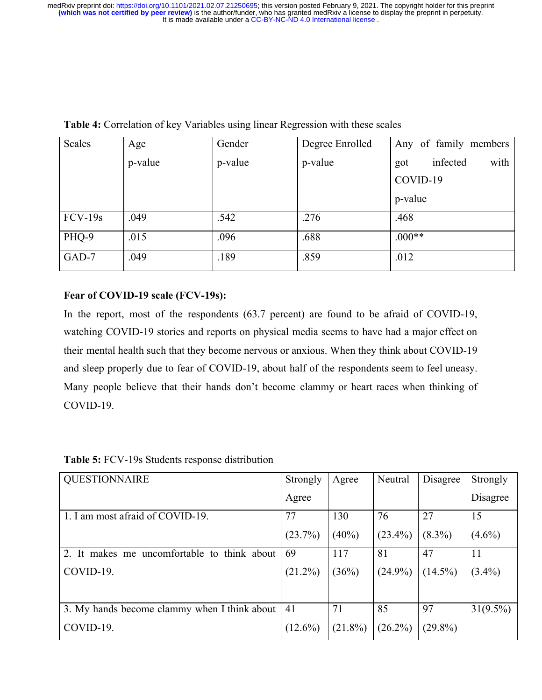| Scales    | Age     | Gender  | Degree Enrolled | Any of family members   |
|-----------|---------|---------|-----------------|-------------------------|
|           | p-value | p-value | p-value         | infected<br>with<br>got |
|           |         |         |                 | COVID-19                |
|           |         |         |                 | p-value                 |
| $FCV-19s$ | .049    | .542    | .276            | .468                    |
| PHQ-9     | .015    | .096    | .688            | $.000**$                |
| GAD-7     | .049    | .189    | .859            | .012                    |

**Table 4:** Correlation of key Variables using linear Regression with these scales

## **Fear of COVID-19 scale (FCV-19s):**

In the report, most of the respondents (63.7 percent) are found to be afraid of COVID-19, watching COVID-19 stories and reports on physical media seems to have had a major effect on their mental health such that they become nervous or anxious. When they think about COVID-19 and sleep properly due to fear of COVID-19, about half of the respondents seem to feel uneasy. Many people believe that their hands don't become clammy or heart races when thinking of COVID-19.

| <b>QUESTIONNAIRE</b>                         | Strongly   | Agree      | Neutral    | Disagree   | Strongly    |
|----------------------------------------------|------------|------------|------------|------------|-------------|
|                                              | Agree      |            |            |            | Disagree    |
| 1. I am most afraid of COVID-19.             | 77         | 130        | 76         | 27         | 15          |
|                                              | (23.7%)    | $(40\%)$   | $(23.4\%)$ | $(8.3\%)$  | $(4.6\%)$   |
| 2. It makes me uncomfortable to think about  | 69         | 117        | 81         | 47         | 11          |
| COVID-19.                                    | $(21.2\%)$ | (36%)      | $(24.9\%)$ | $(14.5\%)$ | $(3.4\%)$   |
| 3. My hands become clammy when I think about | 41         | 71         | 85         | 97         | $31(9.5\%)$ |
|                                              |            |            |            |            |             |
| COVID-19.                                    | $(12.6\%)$ | $(21.8\%)$ | $(26.2\%)$ | $(29.8\%)$ |             |

**Table 5:** FCV-19s Students response distribution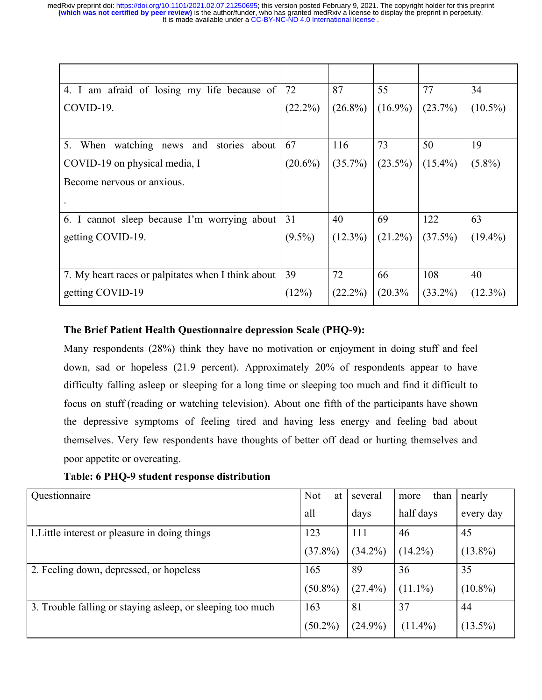| 4. I am afraid of losing my life because of        | 72         | 87         | 55         | 77         | 34         |
|----------------------------------------------------|------------|------------|------------|------------|------------|
| COVID-19.                                          | $(22.2\%)$ | $(26.8\%)$ | $(16.9\%)$ | $(23.7\%)$ | $(10.5\%)$ |
|                                                    |            |            |            |            |            |
| 5.<br>When watching news and<br>stories about      | 67         | 116        | 73         | 50         | 19         |
| COVID-19 on physical media, I                      | $(20.6\%)$ | $(35.7\%)$ | $(23.5\%)$ | $(15.4\%)$ | $(5.8\%)$  |
| Become nervous or anxious.                         |            |            |            |            |            |
|                                                    |            |            |            |            |            |
| 6. I cannot sleep because I'm worrying about       | 31         | 40         | 69         | 122        | 63         |
| getting COVID-19.                                  | $(9.5\%)$  | $(12.3\%)$ | $(21.2\%)$ | $(37.5\%)$ | $(19.4\%)$ |
|                                                    |            |            |            |            |            |
| 7. My heart races or palpitates when I think about | 39         | 72         | 66         | 108        | 40         |
| getting COVID-19                                   | (12%)      | $(22.2\%)$ | (20.3%     | $(33.2\%)$ | $(12.3\%)$ |

## **The Brief Patient Health Questionnaire depression Scale (PHQ-9):**

Many respondents (28%) think they have no motivation or enjoyment in doing stuff and feel down, sad or hopeless (21.9 percent). Approximately 20% of respondents appear to have difficulty falling asleep or sleeping for a long time or sleeping too much and find it difficult to focus on stuff (reading or watching television). About one fifth of the participants have shown the depressive symptoms of feeling tired and having less energy and feeling bad about themselves. Very few respondents have thoughts of better off dead or hurting themselves and poor appetite or overeating.

**Table: 6 PHQ-9 student response distribution**

| Questionnaire                                              | <b>Not</b><br>at ' | several    | than<br>more | nearly     |
|------------------------------------------------------------|--------------------|------------|--------------|------------|
|                                                            | all                | days       | half days    | every day  |
| 1. Little interest or pleasure in doing things             | 123                | 111        | 46           | 45         |
|                                                            | $(37.8\%)$         | $(34.2\%)$ | $(14.2\%)$   | $(13.8\%)$ |
| 2. Feeling down, depressed, or hopeless                    | 165                | 89         | 36           | 35         |
|                                                            | $(50.8\%)$         | $(27.4\%)$ | $(11.1\%)$   | $(10.8\%)$ |
| 3. Trouble falling or staying asleep, or sleeping too much | 163                | 81         | 37           | 44         |
|                                                            | $(50.2\%)$         | $(24.9\%)$ | $(11.4\%)$   | $(13.5\%)$ |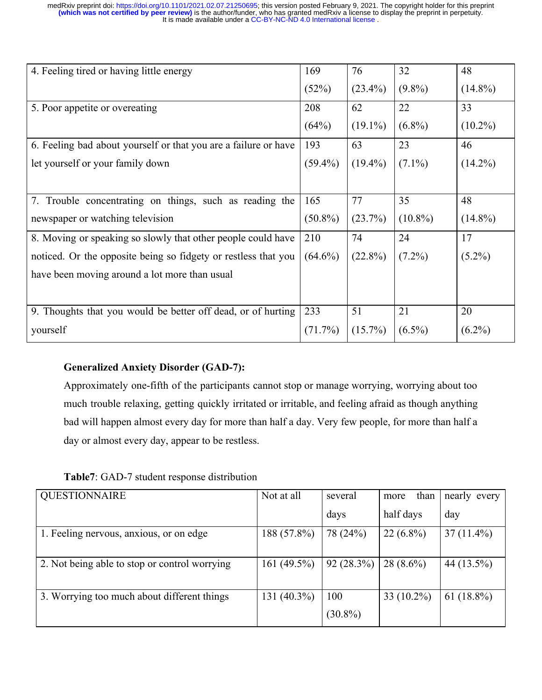| 4. Feeling tired or having little energy                        | 169        | 76         | 32         | 48         |
|-----------------------------------------------------------------|------------|------------|------------|------------|
|                                                                 | (52%)      | $(23.4\%)$ | $(9.8\%)$  | $(14.8\%)$ |
| 5. Poor appetite or overeating                                  | 208        | 62         | 22         | 33         |
|                                                                 | (64%)      | $(19.1\%)$ | $(6.8\%)$  | $(10.2\%)$ |
| 6. Feeling bad about yourself or that you are a failure or have | 193        | 63         | 23         | 46         |
| let yourself or your family down                                | $(59.4\%)$ | $(19.4\%)$ | $(7.1\%)$  | $(14.2\%)$ |
|                                                                 |            |            |            |            |
| 7. Trouble concentrating on things, such as reading the         | 165        | 77         | 35         | 48         |
| newspaper or watching television                                | $(50.8\%)$ | (23.7%)    | $(10.8\%)$ | $(14.8\%)$ |
| 8. Moving or speaking so slowly that other people could have    | 210        | 74         | 24         | 17         |
| noticed. Or the opposite being so fidgety or restless that you  | $(64.6\%)$ | $(22.8\%)$ | $(7.2\%)$  | $(5.2\%)$  |
| have been moving around a lot more than usual                   |            |            |            |            |
|                                                                 |            |            |            |            |
| 9. Thoughts that you would be better off dead, or of hurting    | 233        | 51         | 21         | 20         |
| yourself                                                        | $(71.7\%)$ | $(15.7\%)$ | $(6.5\%)$  | $(6.2\%)$  |

# **Generalized Anxiety Disorder (GAD-7):**

Approximately one-fifth of the participants cannot stop or manage worrying, worrying about too much trouble relaxing, getting quickly irritated or irritable, and feeling afraid as though anything bad will happen almost every day for more than half a day. Very few people, for more than half a day or almost every day, appear to be restless.

**Table7**: GAD-7 student response distribution

| <b>QUESTIONNAIRE</b>                          | Not at all     | several           | than<br>more  | nearly<br>every |
|-----------------------------------------------|----------------|-------------------|---------------|-----------------|
|                                               |                | days              | half days     | day             |
| 1. Feeling nervous, anxious, or on edge       | 188 (57.8%)    | 78 (24%)          | $22(6.8\%)$   | $37(11.4\%)$    |
| 2. Not being able to stop or control worrying | 161 $(49.5\%)$ | 92(28.3%)         | $28(8.6\%)$   | 44 (13.5%)      |
| 3. Worrying too much about different things   | 131 (40.3%)    | 100<br>$(30.8\%)$ | 33 $(10.2\%)$ | 61 $(18.8\%)$   |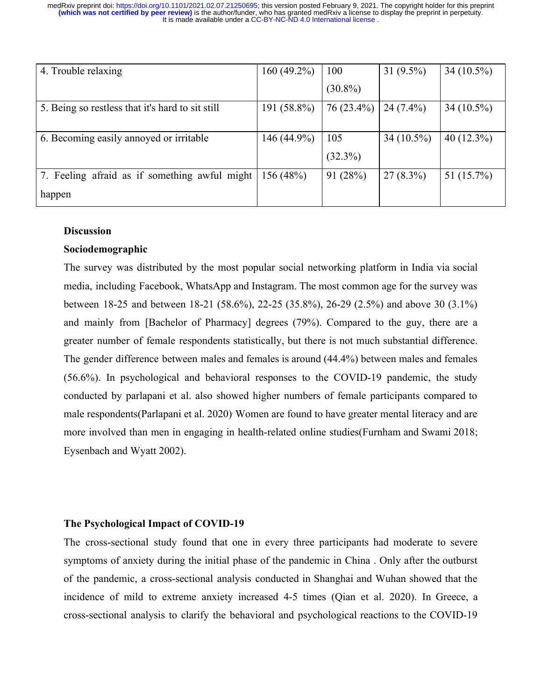| 4. Trouble relaxing                              | 160 $(49.2\%)$ | 100        | 31 $(9.5\%)$ | 34 $(10.5\%)$ |
|--------------------------------------------------|----------------|------------|--------------|---------------|
|                                                  |                | $(30.8\%)$ |              |               |
| 5. Being so restless that it's hard to sit still | 191 (58.8%)    | 76 (23.4%) | $24(7.4\%)$  | $34(10.5\%)$  |
|                                                  |                |            |              |               |
| 6. Becoming easily annoyed or irritable          | 146 (44.9%)    | 105        | $34(10.5\%)$ | 40 $(12.3\%)$ |
|                                                  |                | $(32.3\%)$ |              |               |
| 7. Feeling afraid as if something awful might    | 156 (48%)      | 91(28%)    | $27(8.3\%)$  | 51 $(15.7\%)$ |
| happen                                           |                |            |              |               |

## **Discussion**

## **Sociodemographic**

The survey was distributed by the most popular social networking platform in India via social media, including Facebook, WhatsApp and Instagram. The most common age for the survey was between 18-25 and between 18-21 (58.6%), 22-25 (35.8%), 26-29 (2.5%) and above 30 (3.1%) and mainly from [Bachelor of Pharmacy] degrees (79%). Compared to the guy, there are a greater number of female respondents statistically, but there is not much substantial difference. The gender difference between males and females is around (44.4%) between males and females (56.6%). In psychological and behavioral responses to the COVID-19 pandemic, the study conducted by parlapani et al. also showed higher numbers of female participants compared to male respondents(Parlapani et al. 2020).Women are found to have greater mental literacy and are more involved than men in engaging in health-related online studies(Furnham and Swami 2018; Eysenbach and Wyatt 2002).

#### **The Psychological Impact of COVID-19**

The cross-sectional study found that one in every three participants had moderate to severe symptoms of anxiety during the initial phase of the pandemic in China . Only after the outburst of the pandemic, a cross-sectional analysis conducted in Shanghai and Wuhan showed that the incidence of mild to extreme anxiety increased 4-5 times (Qian et al. 2020). In Greece, a cross-sectional analysis to clarify the behavioral and psychological reactions to the COVID-19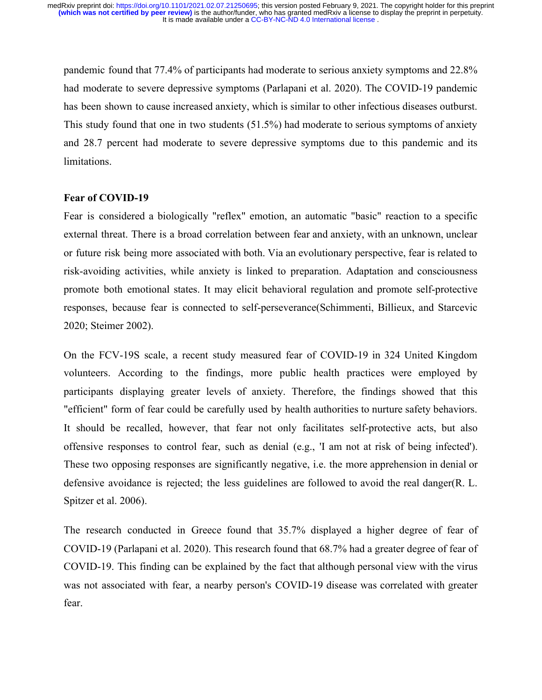pandemic found that 77.4% of participants had moderate to serious anxiety symptoms and 22.8% had moderate to severe depressive symptoms (Parlapani et al. 2020). The COVID-19 pandemic has been shown to cause increased anxiety, which is similar to other infectious diseases outburst. This study found that one in two students (51.5%) had moderate to serious symptoms of anxiety and 28.7 percent had moderate to severe depressive symptoms due to this pandemic and its limitations.

#### **Fear of COVID-19**

Fear is considered a biologically "reflex" emotion, an automatic "basic" reaction to a specific external threat. There is a broad correlation between fear and anxiety, with an unknown, unclear or future risk being more associated with both. Via an evolutionary perspective, fear is related to risk-avoiding activities, while anxiety is linked to preparation. Adaptation and consciousness promote both emotional states. It may elicit behavioral regulation and promote self-protective responses, because fear is connected to self-perseverance(Schimmenti, Billieux, and Starcevic 2020; Steimer 2002).

On the FCV-19S scale, a recent study measured fear of COVID-19 in 324 United Kingdom volunteers. According to the findings, more public health practices were employed by participants displaying greater levels of anxiety. Therefore, the findings showed that this "efficient" form of fear could be carefully used by health authorities to nurture safety behaviors. It should be recalled, however, that fear not only facilitates self-protective acts, but also offensive responses to control fear, such as denial (e.g., 'I am not at risk of being infected'). These two opposing responses are significantly negative, i.e. the more apprehension in denial or defensive avoidance is rejected; the less guidelines are followed to avoid the real danger(R. L. Spitzer et al. 2006).

The research conducted in Greece found that 35.7% displayed a higher degree of fear of COVID-19 (Parlapani et al. 2020). This research found that 68.7% had a greater degree of fear of COVID-19. This finding can be explained by the fact that although personal view with the virus was not associated with fear, a nearby person's COVID-19 disease was correlated with greater fear.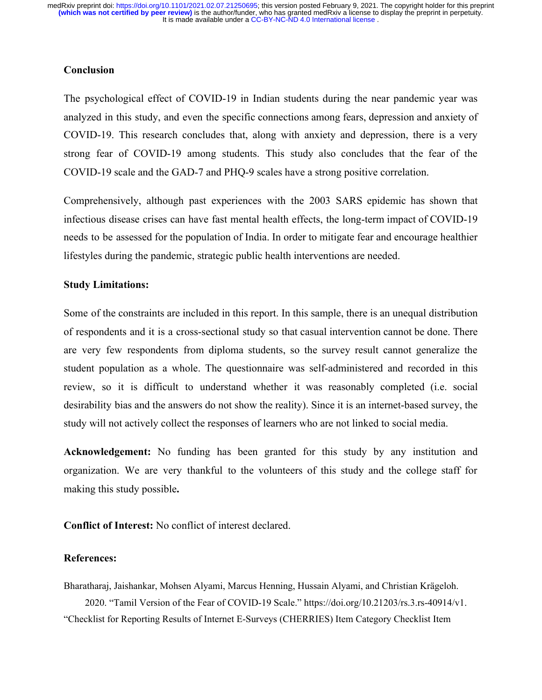## **Conclusion**

The psychological effect of COVID-19 in Indian students during the near pandemic year was analyzed in this study, and even the specific connections among fears, depression and anxiety of COVID-19. This research concludes that, along with anxiety and depression, there is a very strong fear of COVID-19 among students. This study also concludes that the fear of the COVID-19 scale and the GAD-7 and PHQ-9 scales have a strong positive correlation.

Comprehensively, although past experiences with the 2003 SARS epidemic has shown that infectious disease crises can have fast mental health effects, the long-term impact of COVID-19 needs to be assessed for the population of India. In order to mitigate fear and encourage healthier lifestyles during the pandemic, strategic public health interventions are needed.

## **Study Limitations:**

Some of the constraints are included in this report. In this sample, there is an unequal distribution of respondents and it is a cross-sectional study so that casual intervention cannot be done. There are very few respondents from diploma students, so the survey result cannot generalize the student population as a whole. The questionnaire was self-administered and recorded in this review, so it is difficult to understand whether it was reasonably completed (i.e. social desirability bias and the answers do not show the reality). Since it is an internet-based survey, the study will not actively collect the responses of learners who are not linked to social media.

**Acknowledgement:** No funding has been granted for this study by any institution and organization. We are very thankful to the volunteers of this study and the college staff for making this study possible**.**

**Conflict of Interest:** No conflict of interest declared.

#### **References:**

Bharatharaj, Jaishankar, Mohsen Alyami, Marcus Henning, Hussain Alyami, and Christian Krägeloh. 2020. "Tamil Version of the Fear of COVID-19 Scale." https://doi.org/10.21203/rs.3.rs-40914/v1. "Checklist for Reporting Results of Internet E-Surveys (CHERRIES) Item Category Checklist Item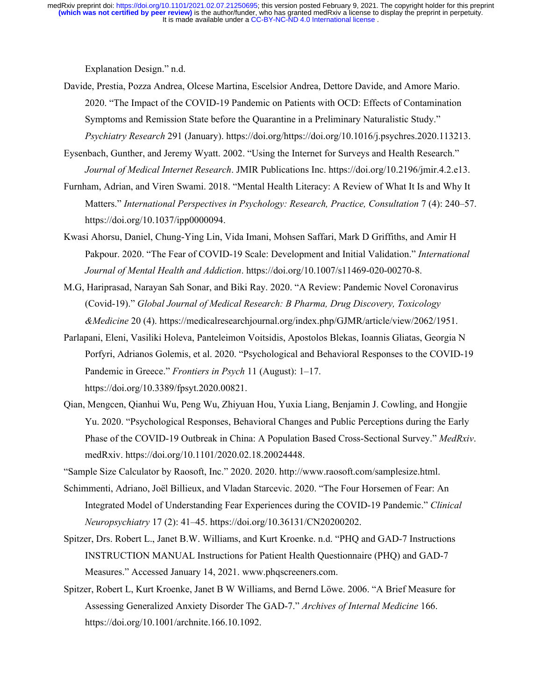Explanation Design." n.d.

- Davide, Prestia, Pozza Andrea, Olcese Martina, Escelsior Andrea, Dettore Davide, and Amore Mario. 2020. "The Impact of the COVID-19 Pandemic on Patients with OCD: Effects of Contamination Symptoms and Remission State before the Quarantine in a Preliminary Naturalistic Study." *Psychiatry Research* 291 (January). https://doi.org/https://doi.org/10.1016/j.psychres.2020.113213.
- Eysenbach, Gunther, and Jeremy Wyatt. 2002. "Using the Internet for Surveys and Health Research." *Journal of Medical Internet Research*. JMIR Publications Inc. https://doi.org/10.2196/jmir.4.2.e13.
- Furnham, Adrian, and Viren Swami. 2018. "Mental Health Literacy: A Review of What It Is and Why It Matters." *International Perspectives in Psychology: Research, Practice, Consultation* 7 (4): 240–57. https://doi.org/10.1037/ipp0000094.
- Kwasi Ahorsu, Daniel, Chung-Ying Lin, Vida Imani, Mohsen Saffari, Mark D Griffiths, and Amir H Pakpour. 2020. "The Fear of COVID-19 Scale: Development and Initial Validation." *International Journal of Mental Health and Addiction*. https://doi.org/10.1007/s11469-020-00270-8.
- M.G, Hariprasad, Narayan Sah Sonar, and Biki Ray. 2020. "A Review: Pandemic Novel Coronavirus (Covid-19)." *Global Journal of Medical Research: B Pharma, Drug Discovery, Toxicology &Medicine* 20 (4). https://medicalresearchjournal.org/index.php/GJMR/article/view/2062/1951.
- Parlapani, Eleni, Vasiliki Holeva, Panteleimon Voitsidis, Apostolos Blekas, Ioannis Gliatas, Georgia N Porfyri, Adrianos Golemis, et al. 2020. "Psychological and Behavioral Responses to the COVID-19 Pandemic in Greece." *Frontiers in Psych* 11 (August): 1–17. https://doi.org/10.3389/fpsyt.2020.00821.
- Qian, Mengcen, Qianhui Wu, Peng Wu, Zhiyuan Hou, Yuxia Liang, Benjamin J. Cowling, and Hongjie Yu. 2020. "Psychological Responses, Behavioral Changes and Public Perceptions during the Early Phase of the COVID-19 Outbreak in China: A Population Based Cross-Sectional Survey." *MedRxiv*. medRxiv. https://doi.org/10.1101/2020.02.18.20024448.
- "Sample Size Calculator by Raosoft, Inc." 2020. 2020. http://www.raosoft.com/samplesize.html.
- Schimmenti, Adriano, Joël Billieux, and Vladan Starcevic. 2020. "The Four Horsemen of Fear: An Integrated Model of Understanding Fear Experiences during the COVID-19 Pandemic." *Clinical Neuropsychiatry* 17 (2): 41–45. https://doi.org/10.36131/CN20200202.
- Spitzer, Drs. Robert L., Janet B.W. Williams, and Kurt Kroenke. n.d. "PHQ and GAD-7 Instructions INSTRUCTION MANUAL Instructions for Patient Health Questionnaire (PHQ) and GAD-7 Measures." Accessed January 14, 2021. www.phqscreeners.com.
- Spitzer, Robert L, Kurt Kroenke, Janet B W Williams, and Bernd Löwe. 2006. "A Brief Measure for Assessing Generalized Anxiety Disorder The GAD-7." *Archives of Internal Medicine* 166. https://doi.org/10.1001/archnite.166.10.1092.